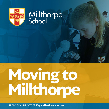

### Millthorpe School



Transition update 02: **Key staff + the school day**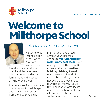

### **Welcome to Millthorpe School**



### Hello to all of our new students!

Welcome to our second edition of *Moving to Millthorpe!* We hope you

found last weeks' edition useful and that you have a better understanding of form groups and Houses at Millthorpe School.

This time we're introducing you to the key staff at Millthorpe and what you can expect from a typical school day.

Many of you have already emailed your friendship choices to **year6transition@ millthorpeschool.co.uk** which is really helpful. This is a polite reminder that the **deadline is Friday 15th May**. If we do not receive your friendship choices by this date, you may not be able to choose up to four friends who you would like to be in your form. Please make sure you have sent this information by the deadline so that you do not miss out.  $\mathbb{M}$  Mr Baybutt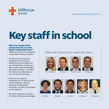

### **Key staff in school**

### **Who is in charge of the school and who is on the 'Senior Leadership Team?'**

Millthorpe School is managed by a close team of Senior Leaders.

Mr Burton is the Executive Headteacher. He works at Millthorpe and York High and you will see him in school two days a week. Miss Greenhalgh is the Head of School – she leads the school on a daily basis so you will see her every day.

There are two Deputy Headteachers; Mr Butterworth and Mr Gillbanks, and four Assistant Headteachers; Ms Andrle, Mr Bates, Ms Simpson and Mr Baybutt.

The Senior Team also includes Mr Collins, the Business Manager. Millthorpe School Senior Leadership Team







Ms Greenhalgh Mr Burton Mr Butterworth Mr Gillbanks











Ms Andrle Mr Bates Mr Collins Ms Simpson Mr Baybutt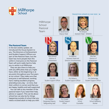

### Millthorpe School Pastoral Team Mr Butterworth



Deputy Head



Transition update 02: May 2020 | **4**

Ms Simpson Assistant Head – SENDCO

#### **The Pastoral Team**

In the last weekly update, we introduced the House System to you. The Directors of Achievement and Student Support Officers are part of the Pastoral Team, but the team has more people than this within it. Everyone on the Pastoral Team will work really hard to help you to settle in at Millthorpe.

They are also there to help you with any difficulties that you might have, either at the beginning or at any point throughout your five years at our school. They make sure that everyone is well behaved, working hard, making excellent progress, attending every day - on time, that their uniform is correct and that you are happy, healthy and well supported.

You can talk to any member of the pastoral team if you need their help, advice or support. This can be about school but can also be for things happening outside of school that you need a trusted adult to help you with.



Miss Johnson Director of Achievement



Miss Ball Student Support Officer



Mrs Madden Designated Deputy Safeguarding Lead



Mrs Cooper Student Support **Officer** 



Mrs Roberts Student Support Officer

Mr Baybutt Assistant Head and Director of Achievement

Ms Clare School Counsellor



Miss Parr Director of Achievement



Mrs Detheridge Student Support Officer



Mrs Huggins School Wellbeing Worker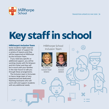- -



## **Key staff in school**

### **Millthorpe's Inclusion Team**

Some students might need an additional layer of support for a variety of reasons and they will be supported at Millthorpe by the Inclusion Team.

If you need any specific or additional support, you will be working closely with Ms Simpson and Mrs Fisher and they will be in touch with your families in the near future to talk you through these arrangements.

The Inclusion team is fortunate to have a large team of very experienced and dedicated Teaching Assistants who will work with and support students with any additional needs.

### Millthorpe School Inclusion Team



Ms Simpson Assistant Head/ **SENDCO** 



Mrs Fisher Assistant

SENDCO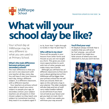

### **What will your school day be like?**

Your school day at Millthorpe may be very different to what you are used to at Primary School.

#### **What's the main difference between primary and secondary school?**

The main difference is that you are not in one classroom with one teacher all day, every day. You will have 5 one-hour lessons each day, doing a different subject, in a different classroom, with a different teacher.

Your teachers at primary school were able to teach you every subject to people your age; at secondary school, your subject teachers are all experts in their chosen subject so they teach one subject (or sometimes two) but they teach it to students aged 11

to 16, from Year 7 right through to GCSEs in Year 10 and Year 11.

### **Who will be in my class?**

There will be people in your lessons from other forms and Houses as you are not taught as a form. This gives you even more opportunities to work with lots of other people and make many new friends.

Although you will have lots of different classrooms to find, don't worry about getting lost at first. Millthorpe will be bigger than your primary school but we will show you around, there are signs on the wall and a map in your planner. The older students will also help and lots of staff carry radios (walkie-talkies!) so we will know if you have not arrived at your lesson and get you back on track. Don't worry – within two weeks you will know your way around!

### **You'll find your way!**

Mr Baybutt always reminds Year 6 students that you will never be 'lost' anyway… you will still be at school! You might be a little unsure of where your next classroom is, but you won't be lost.

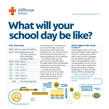

### **What will your school day be like?**

|  | rour school day:    |                                                                                             |
|--|---------------------|---------------------------------------------------------------------------------------------|
|  |                     | 08:30 -School is open to students                                                           |
|  |                     | 08:45 - 09:05 Registration with<br>your form and form<br>tutor (assembly<br>one day a week) |
|  |                     | 09:05 - 10:05 Lesson 1                                                                      |
|  |                     | 10:05 - 11:05 Lesson 2                                                                      |
|  | 11:05 - 11:20 Break |                                                                                             |
|  |                     | 11:20 - 12:20 Lesson 3                                                                      |
|  | 12:20 - 13:10 Lunch |                                                                                             |
|  |                     | 13:10 - 14:10 Lesson 4                                                                      |
|  |                     | 14:10 - 15:10 Lesson 5                                                                      |
|  | 15:10               | The school day ends                                                                         |
|  |                     |                                                                                             |

**Your school day:**

You will be given a timetable on your very first day so you will always know what lessons you have each day. You will then know which books to bring and if you need anything else such as PE kits. You will not need your PE kit on the first day. One day a fortnight (every other Wednesday), school closes at the earlier time of 14:20 for staff training. You still do 5 lessons but each one lasts for 50 minutes rather than an hour. We will explain this properly to you once you have started.

**BEB** 

### **What subjects will I study in Year 7?**

In Key Stage 3 (Year 7 to 9), you will study English, Maths, Science, French or German (you will be able to tell us which Language you would like to study if you have a strong preference and we will explain how you can do this in next weeks' update), Art, Design Technology\*, History, Geography, ICT, Music, PE, RE, Drama, PSHE and Citizenship. *\*Design Technology includes Food Technology, Graphics,* 

*Resistant Materials and Textiles.*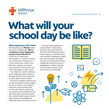

### **What will your school day be like?**

#### **What equipment will I need?**

We will give you a **Planner** when you start at Millthorpe. **This is a vital part of your equipment and you must look after it**. It has lots of important information in it and it is where you record your homework. It is also where you collect your "Positive" stamps and where your teachers and parents can write messages to each other.

Your Planner must be with you every single day and it needs to be open on the correct day and on your desk in every lesson.

All of your teachers will give you an exercise book for their subject for you to work in. You need to bring the correct books with you for each day so make sure you check your timetable for the next day every evening and put the correct books in your school bag. Lockers are available for everyone if you have a lot to carry.

You also need equipment such as black or blue pens, pencils, ruler, green pen (for peer and self-assessment and improving your work/acting on your teacher's feedback), maths set and a scientific calculator. You are very welcome to bring additional stationery such as highlighters, rubbers, felt tips etc if you have room in your pencil case or school bag.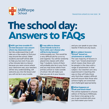

### **The school day: Answers to FAQs**

#### **1 Will I get into trouble if I am late because I was unsure where my classroom was?**

No! We understand that it will take you a few weeks to find your way around the school. Older students and staff will be able to help you but even if you are a few minutes late to a lesson because you were unsure where your classroom was, your teachers will be very understanding, will welcome you into the lesson and you will not be in any trouble.

#### **2 I was able to choose some friends to be in a form with; can I choose who will be in my lessons?**

Unfortunately not. This would be a very difficult job for us to try and organise. You will be randomly placed into classes with other Year 7 students. Some of them will probably also be in your form and you may know others from primary school or clubs outside of school. We will make sure that you are ok in your lessons





and you can speak to your class teacher if there are any issues.

#### **3 Are subject lessons "setted" based on attainment or ability?**

The vast majority of lessons in Year 7 are "mixed attainment" which means that there will be people in the class with a range of attainment in that subject. Our teachers are very experienced in teaching this way so they will help those who find their subject difficult and will ensure that those who achieve highly are stretched and challenged appropriately.

### **4 What happens at break and lunch time?**

This will be explained in a future edition of *Moving to Millthorpe*, but there is lots going on for you to get involved with once you have eaten your lunch.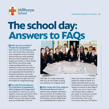

### **The school day: Answers to FAQs**

### **5 Will I get into trouble if I forget my equipment?**

Don't worry; we will help you with this. Your Form Tutor will check your equipment every morning and provide you with anything that you have forgotten. If you forget your books or other things like PE kits, we will be really understanding whilst you are settling in. Once you are used to school, it is important that you are organised and remember to bring everything so we would need to help you to get organised so that you do not get into a bit of trouble for forgetting things.

### **6 You said that the Planner is a vital piece of equipment. What happens if I forget this?**

Your planner is vital so try not to forget it. If you do, your Form Tutor will give you a one day "Planner Sheet" but you will need to make sure you remember it for the



next day. It is really important that you do not forget to bring your planner on a regular basis.

### **7 Will I study all of the subjects mentioned above in Year 7?**

Almost every student will follow this curriculum. If a student has a particular need, it may be that Ms Simpson and the SEND Team put something else in place for

them, but most students will study the subjects listed. It is really important that you get the chance to study a broad and varied curriculum in Key Stage 3.

When you are in Year 9, you will choose which subjects you want to continue to study for GCSEs in Year 10 and 11 but until then, this is the curriculum that you will follow.